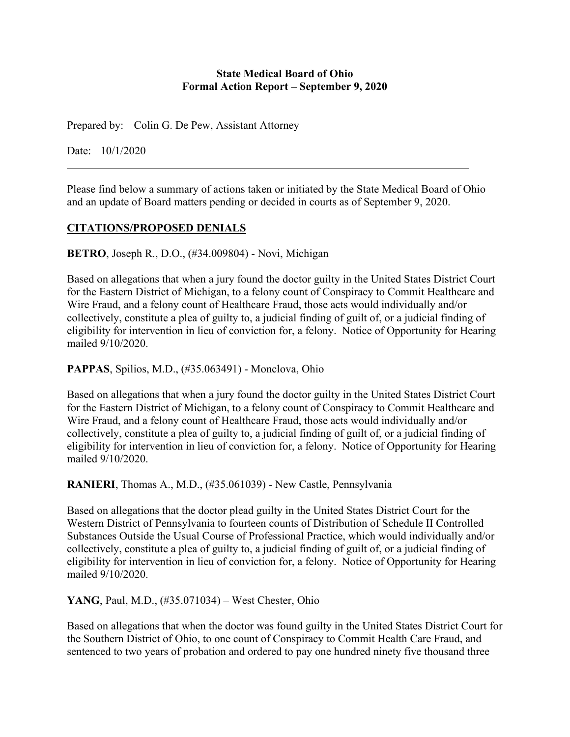#### **State Medical Board of Ohio Formal Action Report – September 9, 2020**

Prepared by: Colin G. De Pew, Assistant Attorney

Date: 10/1/2020

Please find below a summary of actions taken or initiated by the State Medical Board of Ohio and an update of Board matters pending or decided in courts as of September 9, 2020.

## **CITATIONS/PROPOSED DENIALS**

**BETRO**, Joseph R., D.O., (#34.009804) - Novi, Michigan

Based on allegations that when a jury found the doctor guilty in the United States District Court for the Eastern District of Michigan, to a felony count of Conspiracy to Commit Healthcare and Wire Fraud, and a felony count of Healthcare Fraud, those acts would individually and/or collectively, constitute a plea of guilty to, a judicial finding of guilt of, or a judicial finding of eligibility for intervention in lieu of conviction for, a felony. Notice of Opportunity for Hearing mailed 9/10/2020.

**PAPPAS**, Spilios, M.D., (#35.063491) - Monclova, Ohio

Based on allegations that when a jury found the doctor guilty in the United States District Court for the Eastern District of Michigan, to a felony count of Conspiracy to Commit Healthcare and Wire Fraud, and a felony count of Healthcare Fraud, those acts would individually and/or collectively, constitute a plea of guilty to, a judicial finding of guilt of, or a judicial finding of eligibility for intervention in lieu of conviction for, a felony. Notice of Opportunity for Hearing mailed 9/10/2020.

**RANIERI**, Thomas A., M.D., (#35.061039) - New Castle, Pennsylvania

Based on allegations that the doctor plead guilty in the United States District Court for the Western District of Pennsylvania to fourteen counts of Distribution of Schedule II Controlled Substances Outside the Usual Course of Professional Practice, which would individually and/or collectively, constitute a plea of guilty to, a judicial finding of guilt of, or a judicial finding of eligibility for intervention in lieu of conviction for, a felony. Notice of Opportunity for Hearing mailed 9/10/2020.

**YANG**, Paul, M.D., (#35.071034) – West Chester, Ohio

Based on allegations that when the doctor was found guilty in the United States District Court for the Southern District of Ohio, to one count of Conspiracy to Commit Health Care Fraud, and sentenced to two years of probation and ordered to pay one hundred ninety five thousand three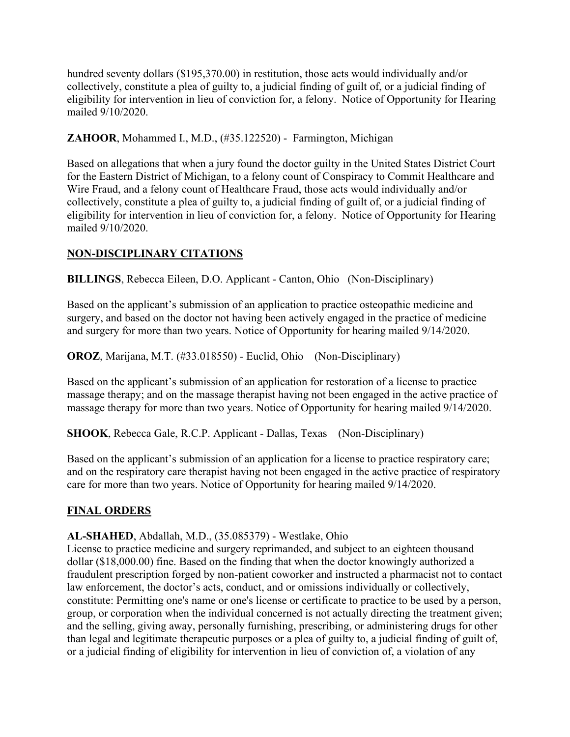hundred seventy dollars (\$195,370.00) in restitution, those acts would individually and/or collectively, constitute a plea of guilty to, a judicial finding of guilt of, or a judicial finding of eligibility for intervention in lieu of conviction for, a felony. Notice of Opportunity for Hearing mailed 9/10/2020.

**ZAHOOR**, Mohammed I., M.D., (#35.122520) - Farmington, Michigan

Based on allegations that when a jury found the doctor guilty in the United States District Court for the Eastern District of Michigan, to a felony count of Conspiracy to Commit Healthcare and Wire Fraud, and a felony count of Healthcare Fraud, those acts would individually and/or collectively, constitute a plea of guilty to, a judicial finding of guilt of, or a judicial finding of eligibility for intervention in lieu of conviction for, a felony. Notice of Opportunity for Hearing mailed 9/10/2020.

# **NON-DISCIPLINARY CITATIONS**

**BILLINGS**, Rebecca Eileen, D.O. Applicant - Canton, Ohio (Non-Disciplinary)

Based on the applicant's submission of an application to practice osteopathic medicine and surgery, and based on the doctor not having been actively engaged in the practice of medicine and surgery for more than two years. Notice of Opportunity for hearing mailed 9/14/2020.

**OROZ**, Marijana, M.T. (#33.018550) - Euclid, Ohio (Non-Disciplinary)

Based on the applicant's submission of an application for restoration of a license to practice massage therapy; and on the massage therapist having not been engaged in the active practice of massage therapy for more than two years. Notice of Opportunity for hearing mailed 9/14/2020.

**SHOOK**, Rebecca Gale, R.C.P. Applicant - Dallas, Texas (Non-Disciplinary)

Based on the applicant's submission of an application for a license to practice respiratory care; and on the respiratory care therapist having not been engaged in the active practice of respiratory care for more than two years. Notice of Opportunity for hearing mailed 9/14/2020.

#### **FINAL ORDERS**

#### **AL-SHAHED**, Abdallah, M.D., (35.085379) - Westlake, Ohio

License to practice medicine and surgery reprimanded, and subject to an eighteen thousand dollar (\$18,000.00) fine. Based on the finding that when the doctor knowingly authorized a fraudulent prescription forged by non-patient coworker and instructed a pharmacist not to contact law enforcement, the doctor's acts, conduct, and or omissions individually or collectively, constitute: Permitting one's name or one's license or certificate to practice to be used by a person, group, or corporation when the individual concerned is not actually directing the treatment given; and the selling, giving away, personally furnishing, prescribing, or administering drugs for other than legal and legitimate therapeutic purposes or a plea of guilty to, a judicial finding of guilt of, or a judicial finding of eligibility for intervention in lieu of conviction of, a violation of any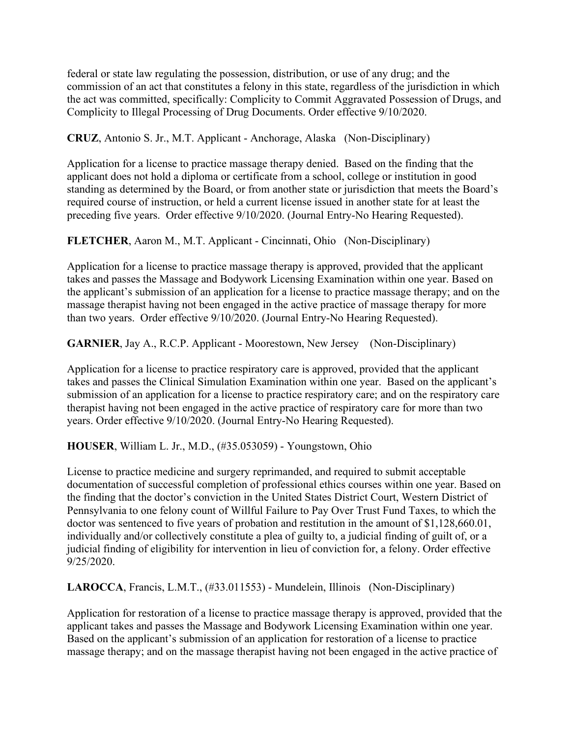federal or state law regulating the possession, distribution, or use of any drug; and the commission of an act that constitutes a felony in this state, regardless of the jurisdiction in which the act was committed, specifically: Complicity to Commit Aggravated Possession of Drugs, and Complicity to Illegal Processing of Drug Documents. Order effective 9/10/2020.

**CRUZ**, Antonio S. Jr., M.T. Applicant - Anchorage, Alaska (Non-Disciplinary)

Application for a license to practice massage therapy denied. Based on the finding that the applicant does not hold a diploma or certificate from a school, college or institution in good standing as determined by the Board, or from another state or jurisdiction that meets the Board's required course of instruction, or held a current license issued in another state for at least the preceding five years. Order effective 9/10/2020. (Journal Entry-No Hearing Requested).

**FLETCHER**, Aaron M., M.T. Applicant - Cincinnati, Ohio (Non-Disciplinary)

Application for a license to practice massage therapy is approved, provided that the applicant takes and passes the Massage and Bodywork Licensing Examination within one year. Based on the applicant's submission of an application for a license to practice massage therapy; and on the massage therapist having not been engaged in the active practice of massage therapy for more than two years. Order effective 9/10/2020. (Journal Entry-No Hearing Requested).

**GARNIER**, Jay A., R.C.P. Applicant - Moorestown, New Jersey (Non-Disciplinary)

Application for a license to practice respiratory care is approved, provided that the applicant takes and passes the Clinical Simulation Examination within one year. Based on the applicant's submission of an application for a license to practice respiratory care; and on the respiratory care therapist having not been engaged in the active practice of respiratory care for more than two years. Order effective 9/10/2020. (Journal Entry-No Hearing Requested).

**HOUSER**, William L. Jr., M.D., (#35.053059) - Youngstown, Ohio

License to practice medicine and surgery reprimanded, and required to submit acceptable documentation of successful completion of professional ethics courses within one year. Based on the finding that the doctor's conviction in the United States District Court, Western District of Pennsylvania to one felony count of Willful Failure to Pay Over Trust Fund Taxes, to which the doctor was sentenced to five years of probation and restitution in the amount of \$1,128,660.01, individually and/or collectively constitute a plea of guilty to, a judicial finding of guilt of, or a judicial finding of eligibility for intervention in lieu of conviction for, a felony. Order effective 9/25/2020.

**LAROCCA**, Francis, L.M.T., (#33.011553) - Mundelein, Illinois (Non-Disciplinary)

Application for restoration of a license to practice massage therapy is approved, provided that the applicant takes and passes the Massage and Bodywork Licensing Examination within one year. Based on the applicant's submission of an application for restoration of a license to practice massage therapy; and on the massage therapist having not been engaged in the active practice of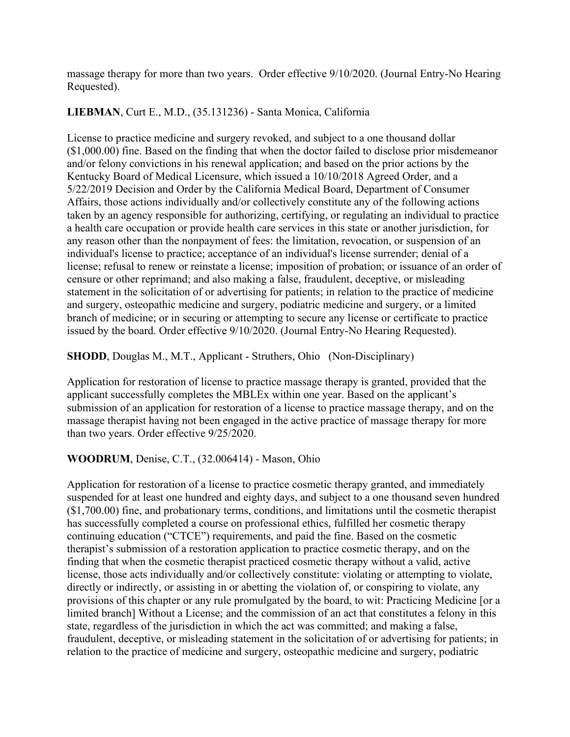massage therapy for more than two years. Order effective 9/10/2020. (Journal Entry-No Hearing Requested).

### **LIEBMAN**, Curt E., M.D., (35.131236) - Santa Monica, California

License to practice medicine and surgery revoked, and subject to a one thousand dollar (\$1,000.00) fine. Based on the finding that when the doctor failed to disclose prior misdemeanor and/or felony convictions in his renewal application; and based on the prior actions by the Kentucky Board of Medical Licensure, which issued a 10/10/2018 Agreed Order, and a 5/22/2019 Decision and Order by the California Medical Board, Department of Consumer Affairs, those actions individually and/or collectively constitute any of the following actions taken by an agency responsible for authorizing, certifying, or regulating an individual to practice a health care occupation or provide health care services in this state or another jurisdiction, for any reason other than the nonpayment of fees: the limitation, revocation, or suspension of an individual's license to practice; acceptance of an individual's license surrender; denial of a license; refusal to renew or reinstate a license; imposition of probation; or issuance of an order of censure or other reprimand; and also making a false, fraudulent, deceptive, or misleading statement in the solicitation of or advertising for patients; in relation to the practice of medicine and surgery, osteopathic medicine and surgery, podiatric medicine and surgery, or a limited branch of medicine; or in securing or attempting to secure any license or certificate to practice issued by the board. Order effective 9/10/2020. (Journal Entry-No Hearing Requested).

## **SHODD**, Douglas M., M.T., Applicant - Struthers, Ohio (Non-Disciplinary)

Application for restoration of license to practice massage therapy is granted, provided that the applicant successfully completes the MBLEx within one year. Based on the applicant's submission of an application for restoration of a license to practice massage therapy, and on the massage therapist having not been engaged in the active practice of massage therapy for more than two years. Order effective 9/25/2020.

#### **WOODRUM**, Denise, C.T., (32.006414) - Mason, Ohio

Application for restoration of a license to practice cosmetic therapy granted, and immediately suspended for at least one hundred and eighty days, and subject to a one thousand seven hundred (\$1,700.00) fine, and probationary terms, conditions, and limitations until the cosmetic therapist has successfully completed a course on professional ethics, fulfilled her cosmetic therapy continuing education ("CTCE") requirements, and paid the fine. Based on the cosmetic therapist's submission of a restoration application to practice cosmetic therapy, and on the finding that when the cosmetic therapist practiced cosmetic therapy without a valid, active license, those acts individually and/or collectively constitute: violating or attempting to violate, directly or indirectly, or assisting in or abetting the violation of, or conspiring to violate, any provisions of this chapter or any rule promulgated by the board, to wit: Practicing Medicine [or a limited branch] Without a License; and the commission of an act that constitutes a felony in this state, regardless of the jurisdiction in which the act was committed; and making a false, fraudulent, deceptive, or misleading statement in the solicitation of or advertising for patients; in relation to the practice of medicine and surgery, osteopathic medicine and surgery, podiatric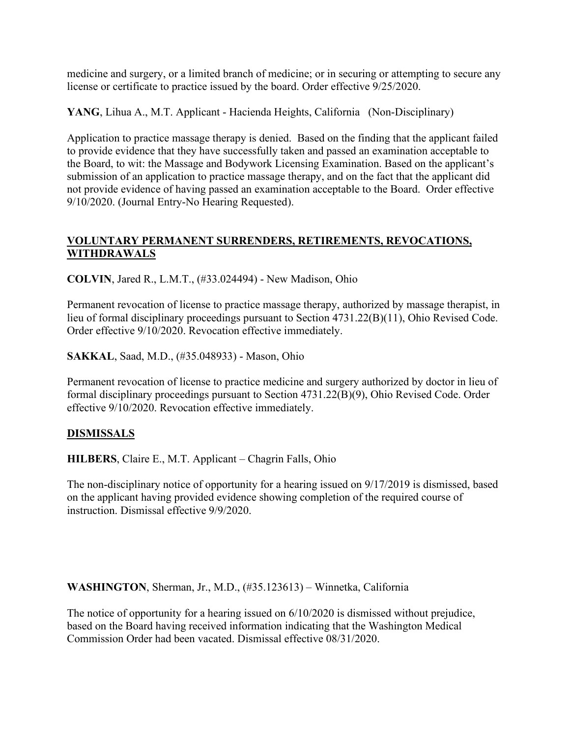medicine and surgery, or a limited branch of medicine; or in securing or attempting to secure any license or certificate to practice issued by the board. Order effective 9/25/2020.

**YANG**, Lihua A., M.T. Applicant - Hacienda Heights, California (Non-Disciplinary)

Application to practice massage therapy is denied. Based on the finding that the applicant failed to provide evidence that they have successfully taken and passed an examination acceptable to the Board, to wit: the Massage and Bodywork Licensing Examination. Based on the applicant's submission of an application to practice massage therapy, and on the fact that the applicant did not provide evidence of having passed an examination acceptable to the Board. Order effective 9/10/2020. (Journal Entry-No Hearing Requested).

### **VOLUNTARY PERMANENT SURRENDERS, RETIREMENTS, REVOCATIONS, WITHDRAWALS**

**COLVIN**, Jared R., L.M.T., (#33.024494) - New Madison, Ohio

Permanent revocation of license to practice massage therapy, authorized by massage therapist, in lieu of formal disciplinary proceedings pursuant to Section 4731.22(B)(11), Ohio Revised Code. Order effective 9/10/2020. Revocation effective immediately.

**SAKKAL**, Saad, M.D., (#35.048933) - Mason, Ohio

Permanent revocation of license to practice medicine and surgery authorized by doctor in lieu of formal disciplinary proceedings pursuant to Section 4731.22(B)(9), Ohio Revised Code. Order effective 9/10/2020. Revocation effective immediately.

# **DISMISSALS**

**HILBERS**, Claire E., M.T. Applicant – Chagrin Falls, Ohio

The non-disciplinary notice of opportunity for a hearing issued on 9/17/2019 is dismissed, based on the applicant having provided evidence showing completion of the required course of instruction. Dismissal effective 9/9/2020.

**WASHINGTON**, Sherman, Jr., M.D., (#35.123613) – Winnetka, California

The notice of opportunity for a hearing issued on 6/10/2020 is dismissed without prejudice, based on the Board having received information indicating that the Washington Medical Commission Order had been vacated. Dismissal effective 08/31/2020.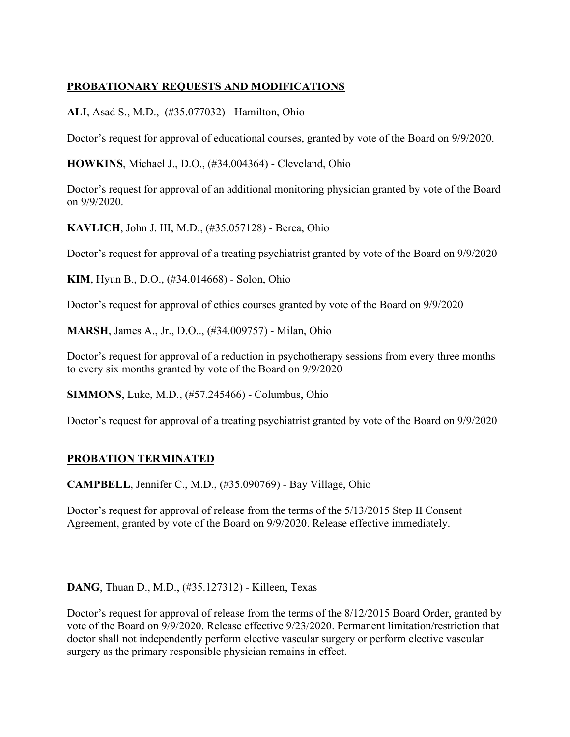# **PROBATIONARY REQUESTS AND MODIFICATIONS**

**ALI**, Asad S., M.D., (#35.077032) - Hamilton, Ohio

Doctor's request for approval of educational courses, granted by vote of the Board on 9/9/2020.

**HOWKINS**, Michael J., D.O., (#34.004364) - Cleveland, Ohio

Doctor's request for approval of an additional monitoring physician granted by vote of the Board on 9/9/2020.

**KAVLICH**, John J. III, M.D., (#35.057128) - Berea, Ohio

Doctor's request for approval of a treating psychiatrist granted by vote of the Board on 9/9/2020

**KIM**, Hyun B., D.O., (#34.014668) - Solon, Ohio

Doctor's request for approval of ethics courses granted by vote of the Board on 9/9/2020

**MARSH**, James A., Jr., D.O.., (#34.009757) - Milan, Ohio

Doctor's request for approval of a reduction in psychotherapy sessions from every three months to every six months granted by vote of the Board on 9/9/2020

**SIMMONS**, Luke, M.D., (#57.245466) - Columbus, Ohio

Doctor's request for approval of a treating psychiatrist granted by vote of the Board on 9/9/2020

#### **PROBATION TERMINATED**

**CAMPBELL**, Jennifer C., M.D., (#35.090769) - Bay Village, Ohio

Doctor's request for approval of release from the terms of the 5/13/2015 Step II Consent Agreement, granted by vote of the Board on 9/9/2020. Release effective immediately.

**DANG**, Thuan D., M.D., (#35.127312) - Killeen, Texas

Doctor's request for approval of release from the terms of the 8/12/2015 Board Order, granted by vote of the Board on 9/9/2020. Release effective 9/23/2020. Permanent limitation/restriction that doctor shall not independently perform elective vascular surgery or perform elective vascular surgery as the primary responsible physician remains in effect.